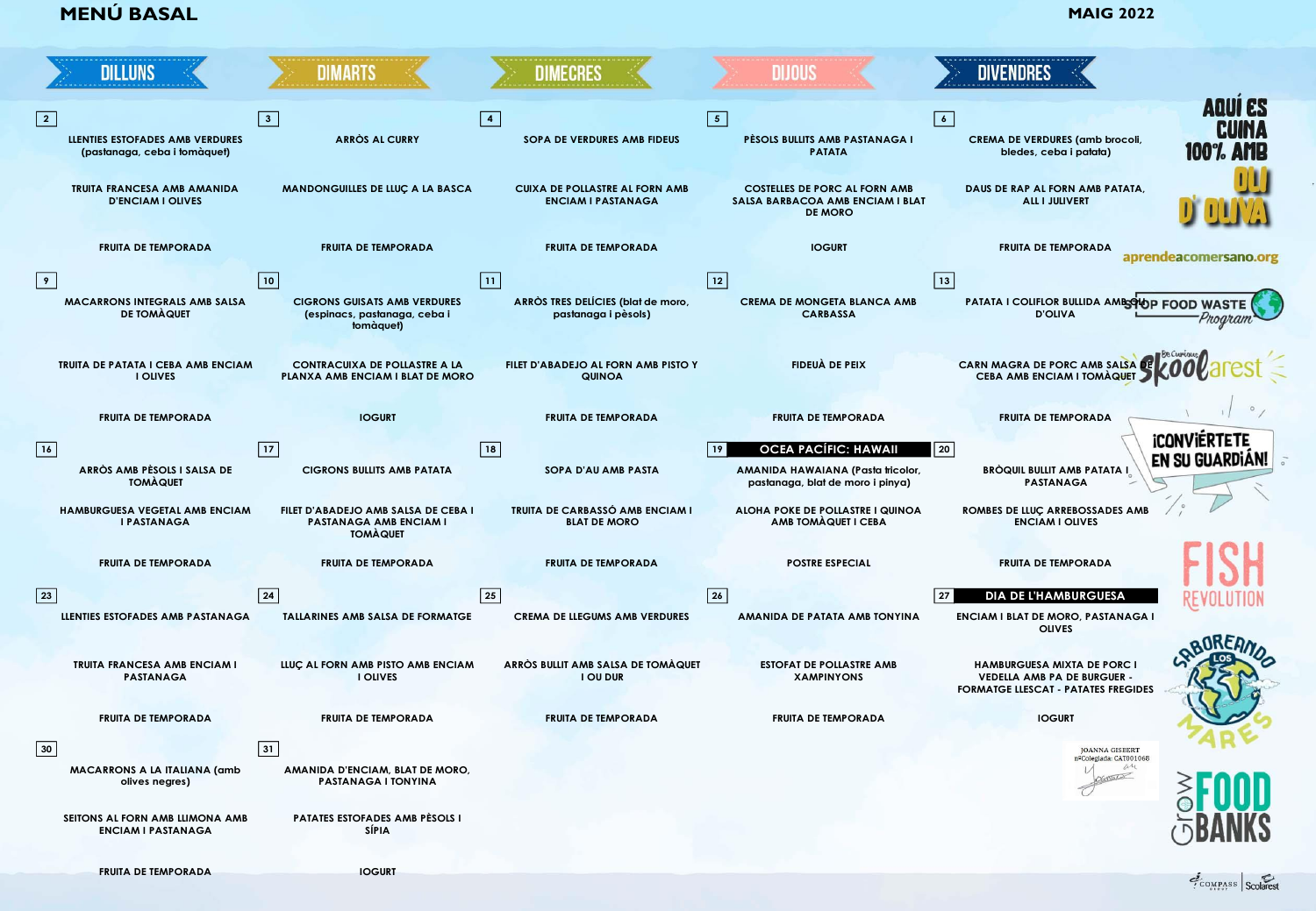**MENÚ BASAL <b>MENÚ BASAL MAIG 2022** 

|            | <b>DILLUNS</b>                                                         | <b>DIMARTS</b>                                                           | <b>DIMECRES</b>                                           | <b>DIJOUS</b>                                         | <b>DIVENDRES</b>                                                               |                       |
|------------|------------------------------------------------------------------------|--------------------------------------------------------------------------|-----------------------------------------------------------|-------------------------------------------------------|--------------------------------------------------------------------------------|-----------------------|
|            |                                                                        |                                                                          |                                                           |                                                       |                                                                                | <b>AQUI ES</b>        |
|            |                                                                        | $\sqrt{3}$                                                               |                                                           | $\sqrt{5}$                                            | $\sqrt{6}$                                                                     |                       |
|            | <b>LLENTIES ESTOFADES AMB VERDURES</b><br>(pastanaga, ceba i tomàquet) | ARRÒS AL CURRY                                                           | <b>SOPA DE VERDURES AMB FIDEUS</b>                        | PÈSOLS BULLITS AMB PASTANAGA I<br><b>PATATA</b>       | <b>CREMA DE VERDURES (amb brocoli,</b><br>bledes, ceba i patata)               | 1007                  |
|            |                                                                        |                                                                          |                                                           |                                                       |                                                                                |                       |
|            | <b>TRUITA FRANCESA AMB AMANIDA</b>                                     | MANDONGUILLES DE LLUÇ A LA BASCA                                         | <b>CUIXA DE POLLASTRE AL FORN AMB</b>                     | <b>COSTELLES DE PORC AL FORN AMB</b>                  | DAUS DE RAP AL FORN AMB PATATA.                                                |                       |
|            | <b>D'ENCIAM I OLIVES</b>                                               |                                                                          | <b>ENCIAM I PASTANAGA</b>                                 | SALSA BARBACOA AMB ENCIAM I BLAT<br><b>DE MORO</b>    | <b>ALL I JULIVERT</b>                                                          |                       |
|            |                                                                        |                                                                          |                                                           |                                                       |                                                                                |                       |
|            | <b>FRUITA DE TEMPORADA</b>                                             | <b>FRUITA DE TEMPORADA</b>                                               | <b>FRUITA DE TEMPORADA</b>                                | <b>IOGURT</b>                                         | <b>FRUITA DE TEMPORADA</b>                                                     | aprendeacomersano.org |
|            |                                                                        |                                                                          |                                                           |                                                       |                                                                                |                       |
| $\sqrt{9}$ |                                                                        | 10                                                                       | $\sqrt{11}$                                               | $\boxed{12}$                                          | $\boxed{13}$                                                                   |                       |
|            | MACARRONS INTEGRALS AMB SALSA<br><b>DE TOMAQUET</b>                    | <b>CIGRONS GUISATS AMB VERDURES</b><br>(espinacs, pastanaga, ceba i      | ARRÒS TRES DELÍCIES (blat de moro,<br>pastanaga i pèsols) | <b>CREMA DE MONGETA BLANCA AMB</b><br><b>CARBASSA</b> | PATATA I COLIFLOR BULLIDA AMESTIOP FOOD WAST<br><b>D'OLIVA</b>                 |                       |
|            |                                                                        | tomàquet)                                                                |                                                           |                                                       |                                                                                | Program               |
|            |                                                                        |                                                                          |                                                           |                                                       |                                                                                |                       |
|            | TRUITA DE PATATA I CEBA AMB ENCIAM                                     | <b>CONTRACUIXA DE POLLASTRE A LA</b><br>PLANXA AMB ENCIAM I BLAT DE MORO | FILET D'ABADEJO AL FORN AMB PISTO Y                       | <b>FIDEUÀ DE PEIX</b>                                 | <b>CARN MAGRA DE PORC AMB SALSA DI</b><br>CEBA AMB ENCIAM I TOMÀQUET           |                       |
|            | <b>I OLIVES</b>                                                        |                                                                          | <b>QUINOA</b>                                             |                                                       |                                                                                |                       |
|            |                                                                        |                                                                          |                                                           |                                                       |                                                                                |                       |
|            | <b>FRUITA DE TEMPORADA</b>                                             | <b>IOGURT</b>                                                            | <b>FRUITA DE TEMPORADA</b>                                | <b>FRUITA DE TEMPORADA</b>                            | <b>FRUITA DE TEMPORADA</b>                                                     |                       |
| 16         |                                                                        | 17                                                                       | 18                                                        | <b>OCEA PACÍFIC: HAWAII</b><br>$ 19\rangle$           | 20                                                                             | <b>ICONVIERTETE</b>   |
|            | ARRÒS AMB PÈSOLS I SALSA DE                                            | <b>CIGRONS BULLITS AMB PATATA</b>                                        | SOPA D'AU AMB PASTA                                       | AMANIDA HAWAIANA (Pasta tricolor,                     | BRÒQUIL BULLIT AMB PATATA L                                                    | <b>EN SU GUARDIAN</b> |
|            | <b>TOMAQUET</b>                                                        |                                                                          |                                                           | pastanaga, blat de moro i pinya)                      | <b>PASTANAGA</b>                                                               |                       |
|            | HAMBURGUESA VEGETAL AMB ENCIAM                                         | FILET D'ABADEJO AMB SALSA DE CEBA I                                      | TRUITA DE CARBASSÓ AMB ENCIAM I                           | ALOHA POKE DE POLLASTRE I QUINOA                      | ROMBES DE LLUÇ ARREBOSSADES AMB                                                |                       |
|            | <b>I PASTANAGA</b>                                                     | PASTANAGA AMB ENCIAM I<br><b>TOMAQUET</b>                                | <b>BLAT DE MORO</b>                                       | AMB TOMAQUET I CEBA                                   | <b>ENCIAM I OLIVES</b>                                                         |                       |
|            |                                                                        |                                                                          |                                                           |                                                       |                                                                                |                       |
|            | <b>FRUITA DE TEMPORADA</b>                                             | <b>FRUITA DE TEMPORADA</b>                                               | <b>FRUITA DE TEMPORADA</b>                                | <b>POSTRE ESPECIAL</b>                                | <b>FRUITA DE TEMPORADA</b>                                                     |                       |
|            |                                                                        |                                                                          |                                                           |                                                       |                                                                                |                       |
| 23         |                                                                        | 24                                                                       | 25                                                        | 26                                                    | 27<br>DIA DE L'HAMBURGUESA                                                     |                       |
|            | LLENTIES ESTOFADES AMB PASTANAGA                                       | TALLARINES AMB SALSA DE FORMATGE                                         | <b>CREMA DE LLEGUMS AMB VERDURES</b>                      | AMANIDA DE PATATA AMB TONYINA                         | ENCIAM I BLAT DE MORO, PASTANAGA I<br><b>OLIVES</b>                            |                       |
|            |                                                                        |                                                                          |                                                           |                                                       |                                                                                |                       |
|            | TRUITA FRANCESA AMB ENCIAM I                                           | LLUÇ AL FORN AMB PISTO AMB ENCIAM                                        | ARRÒS BULLIT AMB SALSA DE TOMÀQUET                        | <b>ESTOFAT DE POLLASTRE AMB</b>                       | <b>HAMBURGUESA MIXTA DE PORC I</b>                                             |                       |
|            | <b>PASTANAGA</b>                                                       | <b>I OLIVES</b>                                                          | <b>I OU DUR</b>                                           | <b>XAMPINYONS</b>                                     | <b>VEDELLA AMB PA DE BURGUER</b><br><b>FORMATGE LLESCAT - PATATES FREGIDES</b> |                       |
|            |                                                                        |                                                                          |                                                           |                                                       |                                                                                |                       |
|            | <b>FRUITA DE TEMPORADA</b>                                             | <b>FRUITA DE TEMPORADA</b>                                               | <b>FRUITA DE TEMPORADA</b>                                | <b>FRUITA DE TEMPORADA</b>                            | <b>IOGURT</b>                                                                  |                       |
| 30         |                                                                        | 31                                                                       |                                                           |                                                       | JOANNA GISBERT                                                                 |                       |
|            | <b>MACARRONS A LA ITALIANA (amb</b>                                    | AMANIDA D'ENCIAM, BLAT DE MORO,                                          |                                                           |                                                       | nºColegiada: CAT001068<br>an                                                   |                       |
|            | olives negres)                                                         | PASTANAGA I TONYINA                                                      |                                                           |                                                       | CONTACT                                                                        |                       |
|            |                                                                        |                                                                          |                                                           |                                                       |                                                                                |                       |
|            | SEITONS AL FORN AMB LLIMONA AMB<br><b>ENCIAM I PASTANAGA</b>           | PATATES ESTOFADES AMB PÈSOLS I<br>SÍPIA                                  |                                                           |                                                       |                                                                                |                       |
|            |                                                                        |                                                                          |                                                           |                                                       |                                                                                |                       |
|            | <b>FRUITA DE TEMPORADA</b>                                             | <b>IOGURT</b>                                                            |                                                           |                                                       |                                                                                |                       |

COMPASS Scolarest